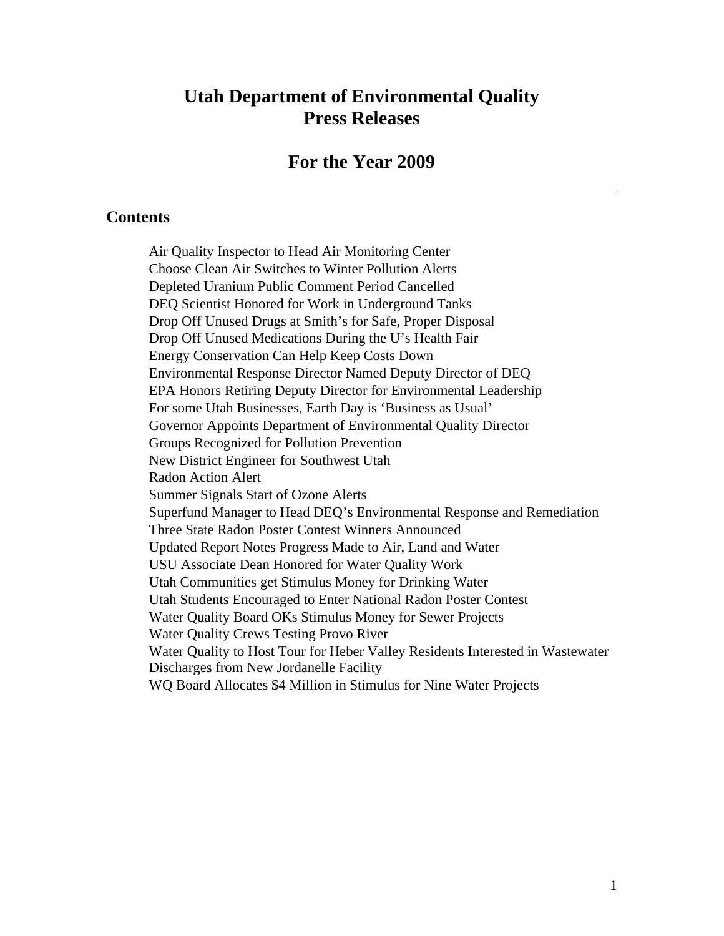# **Utah Department of Environmental Quality Press Releases**

#### **For the Year 2009**

#### **Contents**

Air Quality Inspector to Head Air Monitoring Center Choose Clean Air Switches to Winter Pollution Alerts Depleted Uranium Public Comment Period Cancelled DEQ Scientist Honored for Work in Underground Tanks Drop Off Unused Drugs at Smith's for Safe, Proper Disposal Drop Off Unused Medications During the U's Health Fair Energy Conservation Can Help Keep Costs Down Environmental Response Director Named Deputy Director of DEQ EPA Honors Retiring Deputy Director for Environmental Leadership For some Utah Businesses, Earth Day is 'Business as Usual' Governor Appoints Department of Environmental Quality Director Groups Recognized for Pollution Prevention New District Engineer for Southwest Utah Radon Action Alert Summer Signals Start of Ozone Alerts Superfund Manager to Head DEQ's Environmental Response and Remediation Three State Radon Poster Contest Winners Announced Updated Report Notes Progress Made to Air, Land and Water USU Associate Dean Honored for Water Quality Work Utah Communities get Stimulus Money for Drinking Water Utah Students Encouraged to Enter National Radon Poster Contest Water Quality Board OKs Stimulus Money for Sewer Projects Water Quality Crews Testing Provo River Water Quality to Host Tour for Heber Valley Residents Interested in Wastewater Discharges from New Jordanelle Facility WQ Board Allocates \$4 Million in Stimulus for Nine Water Projects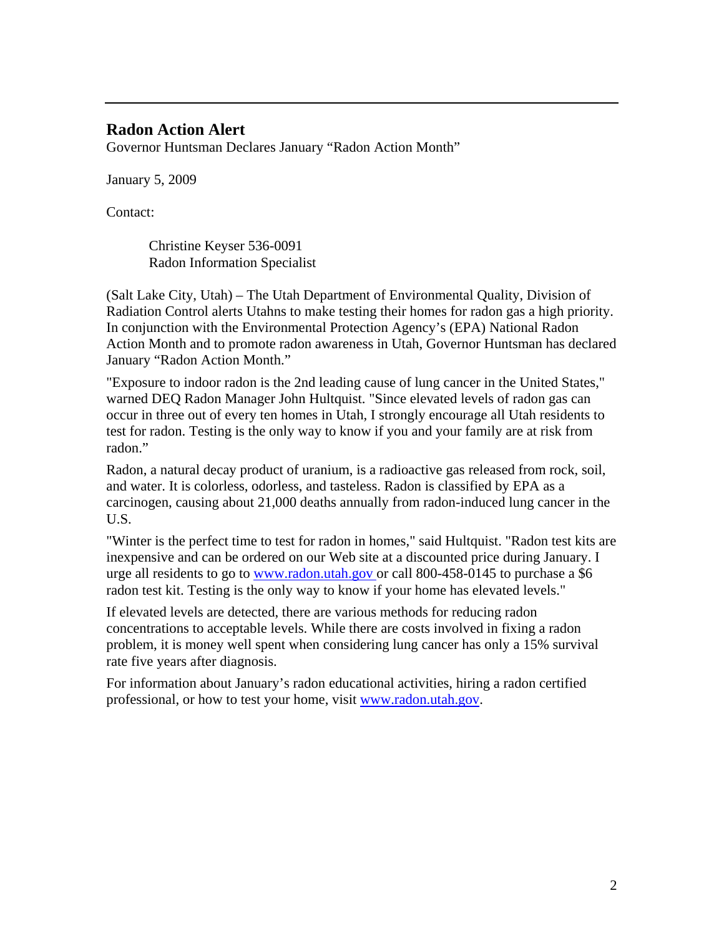#### **Radon Action Alert**

Governor Huntsman Declares January "Radon Action Month"

January 5, 2009

Contact:

Christine Keyser 536-0091 Radon Information Specialist

(Salt Lake City, Utah) – The Utah Department of Environmental Quality, Division of Radiation Control alerts Utahns to make testing their homes for radon gas a high priority. In conjunction with the Environmental Protection Agency's (EPA) National Radon Action Month and to promote radon awareness in Utah, Governor Huntsman has declared January "Radon Action Month."

"Exposure to indoor radon is the 2nd leading cause of lung cancer in the United States," warned DEQ Radon Manager John Hultquist. "Since elevated levels of radon gas can occur in three out of every ten homes in Utah, I strongly encourage all Utah residents to test for radon. Testing is the only way to know if you and your family are at risk from radon."

Radon, a natural decay product of uranium, is a radioactive gas released from rock, soil, and water. It is colorless, odorless, and tasteless. Radon is classified by EPA as a carcinogen, causing about 21,000 deaths annually from radon-induced lung cancer in the U.S.

"Winter is the perfect time to test for radon in homes," said Hultquist. "Radon test kits are inexpensive and can be ordered on our Web site at a discounted price during January. I urge all residents to go to www.radon.utah.gov or call 800-458-0145 to purchase a \$6 radon test kit. Testing is the only way to know if your home has elevated levels."

If elevated levels are detected, there are various methods for reducing radon concentrations to acceptable levels. While there are costs involved in fixing a radon problem, it is money well spent when considering lung cancer has only a 15% survival rate five years after diagnosis.

For information about January's radon educational activities, hiring a radon certified professional, or how to test your home, visit www.radon.utah.gov.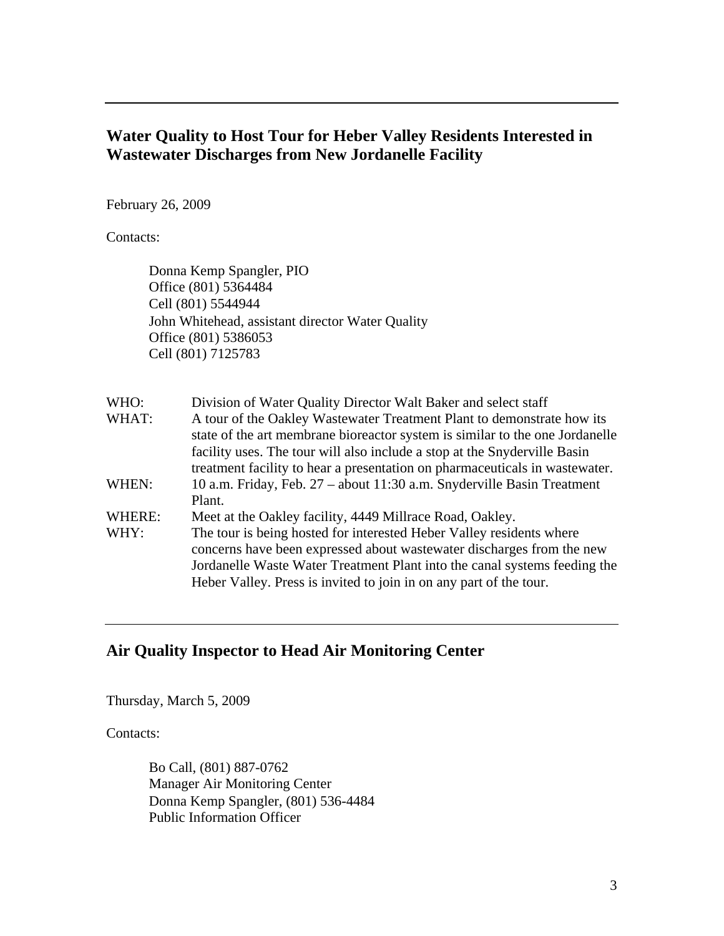# **Water Quality to Host Tour for Heber Valley Residents Interested in Wastewater Discharges from New Jordanelle Facility**

February 26, 2009

Contacts:

Donna Kemp Spangler, PIO Office (801) 5364484 Cell (801) 5544944 John Whitehead, assistant director Water Quality Office (801) 5386053 Cell (801) 7125783

| WHO:   | Division of Water Quality Director Walt Baker and select staff               |
|--------|------------------------------------------------------------------------------|
| WHAT:  | A tour of the Oakley Wastewater Treatment Plant to demonstrate how its       |
|        | state of the art membrane bioreactor system is similar to the one Jordanelle |
|        | facility uses. The tour will also include a stop at the Snyderville Basin    |
|        | treatment facility to hear a presentation on pharmaceuticals in wastewater.  |
| WHEN:  | 10 a.m. Friday, Feb. 27 – about 11:30 a.m. Snyderville Basin Treatment       |
|        | Plant.                                                                       |
| WHERE: | Meet at the Oakley facility, 4449 Millrace Road, Oakley.                     |
| WHY:   | The tour is being hosted for interested Heber Valley residents where         |
|        | concerns have been expressed about was tewater discharges from the new       |
|        | Jordanelle Waste Water Treatment Plant into the canal systems feeding the    |
|        | Heber Valley. Press is invited to join in on any part of the tour.           |

# **Air Quality Inspector to Head Air Monitoring Center**

Thursday, March 5, 2009

Contacts:

Bo Call, (801) 887-0762 Manager Air Monitoring Center Donna Kemp Spangler, (801) 536-4484 Public Information Officer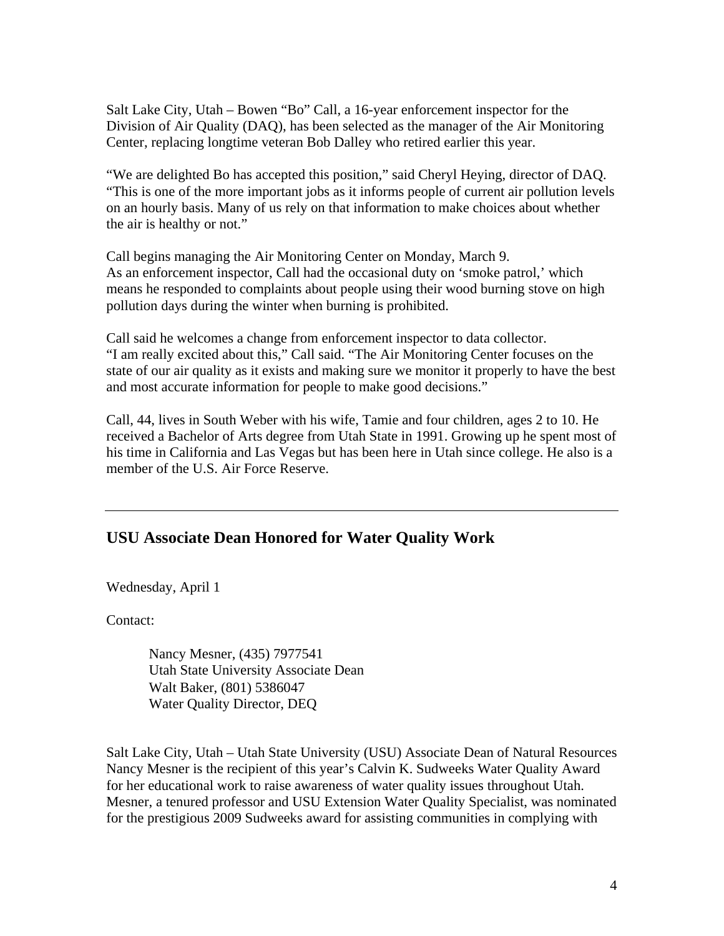Salt Lake City, Utah – Bowen "Bo" Call, a 16-year enforcement inspector for the Division of Air Quality (DAQ), has been selected as the manager of the Air Monitoring Center, replacing longtime veteran Bob Dalley who retired earlier this year.

"We are delighted Bo has accepted this position," said Cheryl Heying, director of DAQ. "This is one of the more important jobs as it informs people of current air pollution levels on an hourly basis. Many of us rely on that information to make choices about whether the air is healthy or not."

Call begins managing the Air Monitoring Center on Monday, March 9. As an enforcement inspector, Call had the occasional duty on 'smoke patrol,' which means he responded to complaints about people using their wood burning stove on high pollution days during the winter when burning is prohibited.

Call said he welcomes a change from enforcement inspector to data collector. "I am really excited about this," Call said. "The Air Monitoring Center focuses on the state of our air quality as it exists and making sure we monitor it properly to have the best and most accurate information for people to make good decisions."

Call, 44, lives in South Weber with his wife, Tamie and four children, ages 2 to 10. He received a Bachelor of Arts degree from Utah State in 1991. Growing up he spent most of his time in California and Las Vegas but has been here in Utah since college. He also is a member of the U.S. Air Force Reserve.

# **USU Associate Dean Honored for Water Quality Work**

Wednesday, April 1

Contact:

Nancy Mesner, (435) 7977541 Utah State University Associate Dean Walt Baker, (801) 5386047 Water Quality Director, DEQ

Salt Lake City, Utah – Utah State University (USU) Associate Dean of Natural Resources Nancy Mesner is the recipient of this year's Calvin K. Sudweeks Water Quality Award for her educational work to raise awareness of water quality issues throughout Utah. Mesner, a tenured professor and USU Extension Water Quality Specialist, was nominated for the prestigious 2009 Sudweeks award for assisting communities in complying with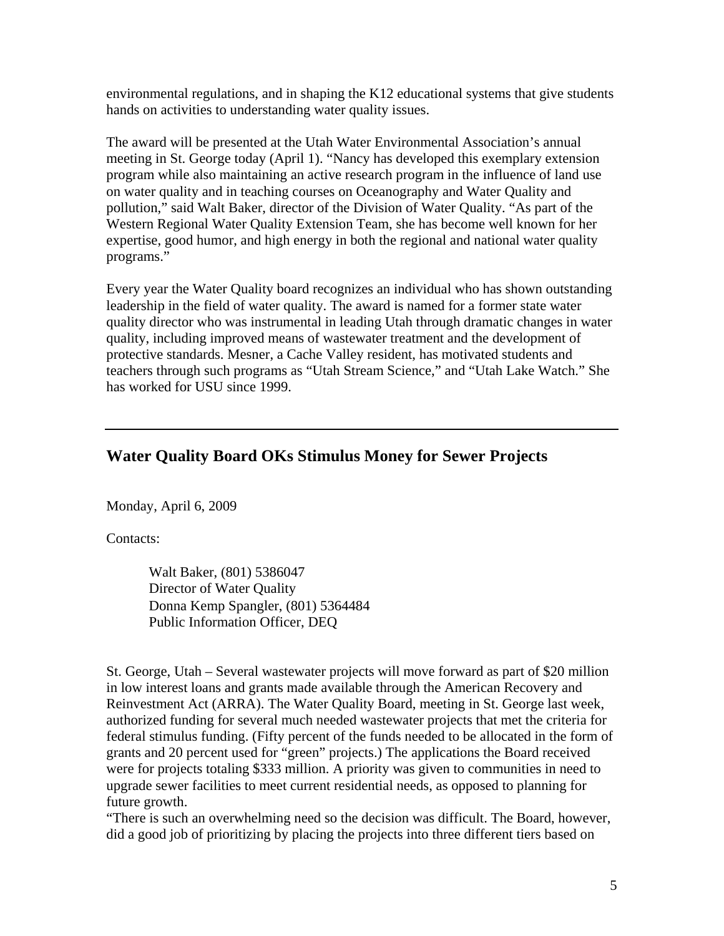environmental regulations, and in shaping the K12 educational systems that give students hands on activities to understanding water quality issues.

The award will be presented at the Utah Water Environmental Association's annual meeting in St. George today (April 1). "Nancy has developed this exemplary extension program while also maintaining an active research program in the influence of land use on water quality and in teaching courses on Oceanography and Water Quality and pollution," said Walt Baker, director of the Division of Water Quality. "As part of the Western Regional Water Quality Extension Team, she has become well known for her expertise, good humor, and high energy in both the regional and national water quality programs."

Every year the Water Quality board recognizes an individual who has shown outstanding leadership in the field of water quality. The award is named for a former state water quality director who was instrumental in leading Utah through dramatic changes in water quality, including improved means of wastewater treatment and the development of protective standards. Mesner, a Cache Valley resident, has motivated students and teachers through such programs as "Utah Stream Science," and "Utah Lake Watch." She has worked for USU since 1999.

# **Water Quality Board OKs Stimulus Money for Sewer Projects**

Monday, April 6, 2009

Contacts:

Walt Baker, (801) 5386047 Director of Water Quality Donna Kemp Spangler, (801) 5364484 Public Information Officer, DEQ

St. George, Utah – Several wastewater projects will move forward as part of \$20 million in low interest loans and grants made available through the American Recovery and Reinvestment Act (ARRA). The Water Quality Board, meeting in St. George last week, authorized funding for several much needed wastewater projects that met the criteria for federal stimulus funding. (Fifty percent of the funds needed to be allocated in the form of grants and 20 percent used for "green" projects.) The applications the Board received were for projects totaling \$333 million. A priority was given to communities in need to upgrade sewer facilities to meet current residential needs, as opposed to planning for future growth.

"There is such an overwhelming need so the decision was difficult. The Board, however, did a good job of prioritizing by placing the projects into three different tiers based on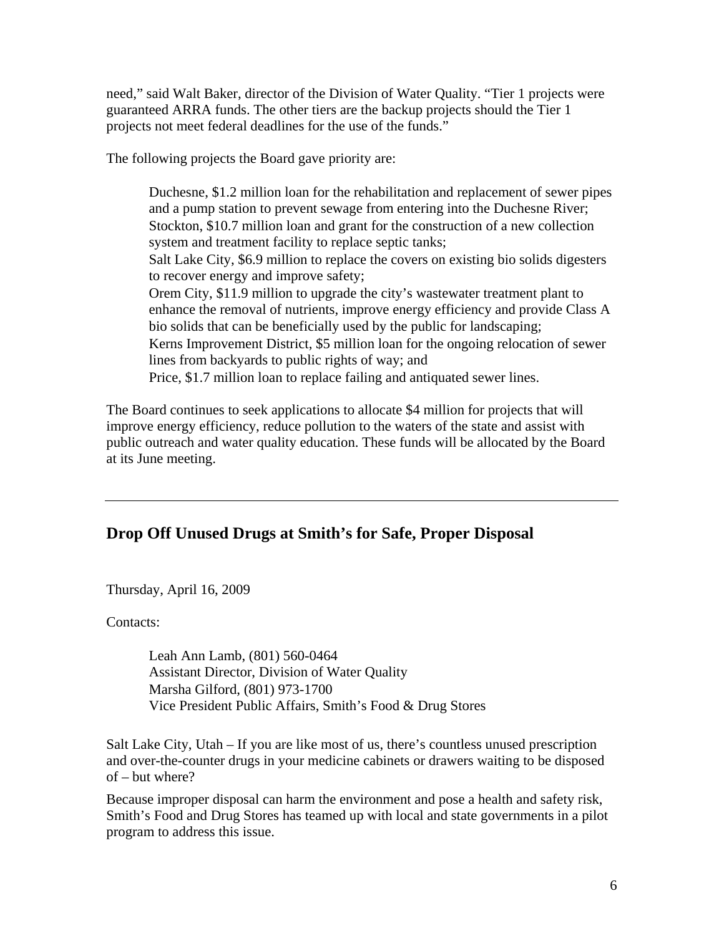need," said Walt Baker, director of the Division of Water Quality. "Tier 1 projects were guaranteed ARRA funds. The other tiers are the backup projects should the Tier 1 projects not meet federal deadlines for the use of the funds."

The following projects the Board gave priority are:

Duchesne, \$1.2 million loan for the rehabilitation and replacement of sewer pipes and a pump station to prevent sewage from entering into the Duchesne River; Stockton, \$10.7 million loan and grant for the construction of a new collection system and treatment facility to replace septic tanks; Salt Lake City, \$6.9 million to replace the covers on existing bio solids digesters to recover energy and improve safety; Orem City, \$11.9 million to upgrade the city's wastewater treatment plant to enhance the removal of nutrients, improve energy efficiency and provide Class A bio solids that can be beneficially used by the public for landscaping; Kerns Improvement District, \$5 million loan for the ongoing relocation of sewer lines from backyards to public rights of way; and Price, \$1.7 million loan to replace failing and antiquated sewer lines.

The Board continues to seek applications to allocate \$4 million for projects that will improve energy efficiency, reduce pollution to the waters of the state and assist with public outreach and water quality education. These funds will be allocated by the Board at its June meeting.

# **Drop Off Unused Drugs at Smith's for Safe, Proper Disposal**

Thursday, April 16, 2009

Contacts:

Leah Ann Lamb, (801) 560-0464 Assistant Director, Division of Water Quality Marsha Gilford, (801) 973-1700 Vice President Public Affairs, Smith's Food & Drug Stores

Salt Lake City, Utah – If you are like most of us, there's countless unused prescription and over-the-counter drugs in your medicine cabinets or drawers waiting to be disposed of – but where?

Because improper disposal can harm the environment and pose a health and safety risk, Smith's Food and Drug Stores has teamed up with local and state governments in a pilot program to address this issue.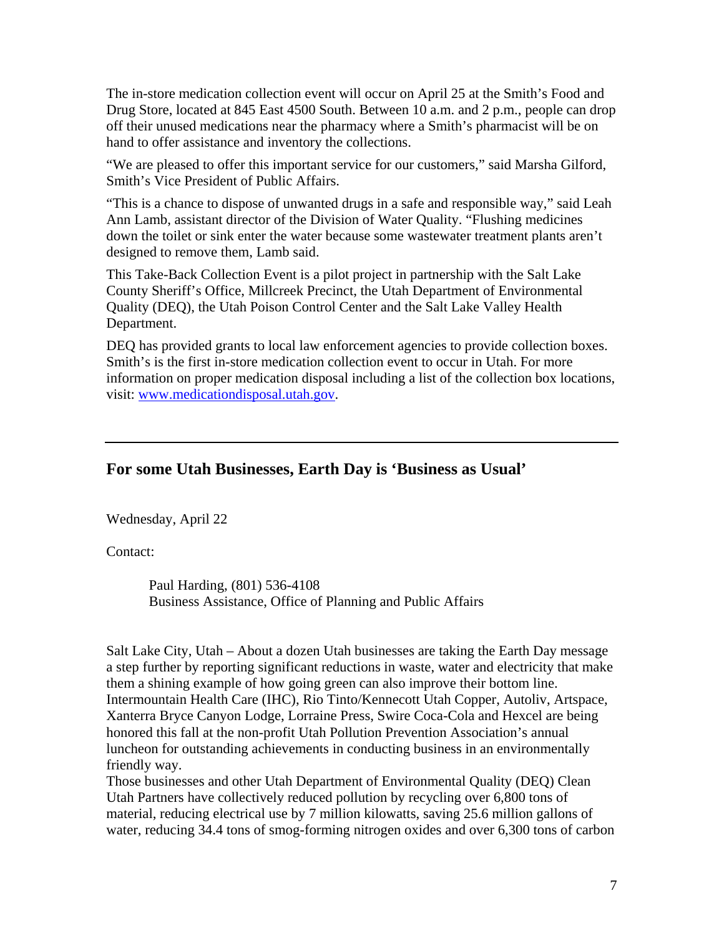The in-store medication collection event will occur on April 25 at the Smith's Food and Drug Store, located at 845 East 4500 South. Between 10 a.m. and 2 p.m., people can drop off their unused medications near the pharmacy where a Smith's pharmacist will be on hand to offer assistance and inventory the collections.

"We are pleased to offer this important service for our customers," said Marsha Gilford, Smith's Vice President of Public Affairs.

"This is a chance to dispose of unwanted drugs in a safe and responsible way," said Leah Ann Lamb, assistant director of the Division of Water Quality. "Flushing medicines down the toilet or sink enter the water because some wastewater treatment plants aren't designed to remove them, Lamb said.

This Take-Back Collection Event is a pilot project in partnership with the Salt Lake County Sheriff's Office, Millcreek Precinct, the Utah Department of Environmental Quality (DEQ), the Utah Poison Control Center and the Salt Lake Valley Health Department.

DEQ has provided grants to local law enforcement agencies to provide collection boxes. Smith's is the first in-store medication collection event to occur in Utah. For more information on proper medication disposal including a list of the collection box locations, visit: www.medicationdisposal.utah.gov.

#### **For some Utah Businesses, Earth Day is 'Business as Usual'**

Wednesday, April 22

Contact:

Paul Harding, (801) 536-4108 Business Assistance, Office of Planning and Public Affairs

Salt Lake City, Utah – About a dozen Utah businesses are taking the Earth Day message a step further by reporting significant reductions in waste, water and electricity that make them a shining example of how going green can also improve their bottom line. Intermountain Health Care (IHC), Rio Tinto/Kennecott Utah Copper, Autoliv, Artspace, Xanterra Bryce Canyon Lodge, Lorraine Press, Swire Coca-Cola and Hexcel are being honored this fall at the non-profit Utah Pollution Prevention Association's annual luncheon for outstanding achievements in conducting business in an environmentally friendly way.

Those businesses and other Utah Department of Environmental Quality (DEQ) Clean Utah Partners have collectively reduced pollution by recycling over 6,800 tons of material, reducing electrical use by 7 million kilowatts, saving 25.6 million gallons of water, reducing 34.4 tons of smog-forming nitrogen oxides and over 6,300 tons of carbon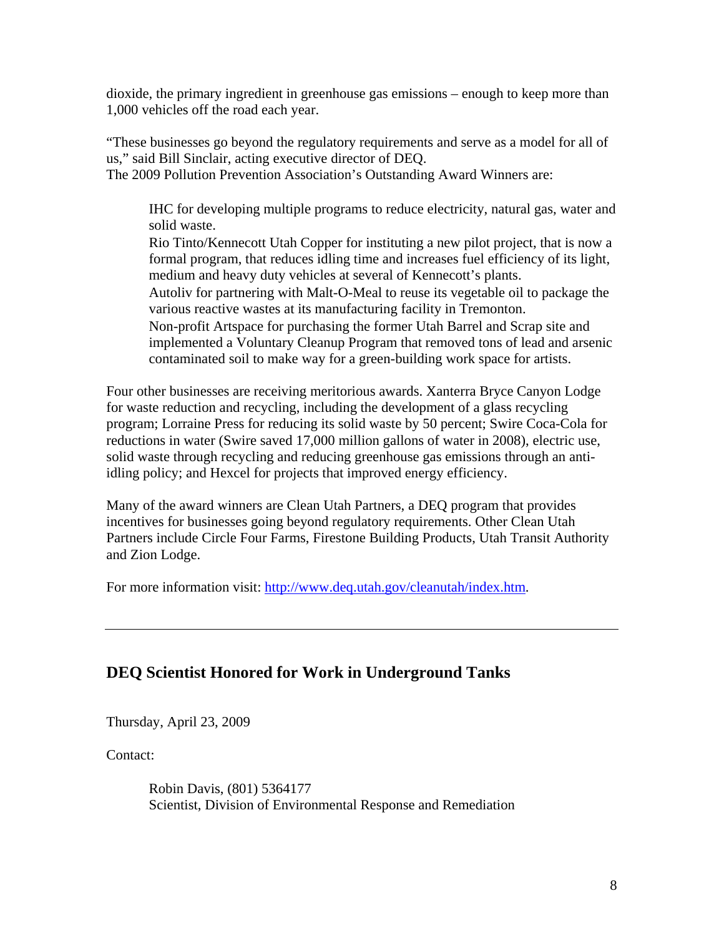dioxide, the primary ingredient in greenhouse gas emissions – enough to keep more than 1,000 vehicles off the road each year.

"These businesses go beyond the regulatory requirements and serve as a model for all of us," said Bill Sinclair, acting executive director of DEQ. The 2009 Pollution Prevention Association's Outstanding Award Winners are:

IHC for developing multiple programs to reduce electricity, natural gas, water and solid waste.

Rio Tinto/Kennecott Utah Copper for instituting a new pilot project, that is now a formal program, that reduces idling time and increases fuel efficiency of its light, medium and heavy duty vehicles at several of Kennecott's plants. Autoliv for partnering with Malt-O-Meal to reuse its vegetable oil to package the

various reactive wastes at its manufacturing facility in Tremonton.

Non-profit Artspace for purchasing the former Utah Barrel and Scrap site and implemented a Voluntary Cleanup Program that removed tons of lead and arsenic contaminated soil to make way for a green-building work space for artists.

Four other businesses are receiving meritorious awards. Xanterra Bryce Canyon Lodge for waste reduction and recycling, including the development of a glass recycling program; Lorraine Press for reducing its solid waste by 50 percent; Swire Coca-Cola for reductions in water (Swire saved 17,000 million gallons of water in 2008), electric use, solid waste through recycling and reducing greenhouse gas emissions through an antiidling policy; and Hexcel for projects that improved energy efficiency.

Many of the award winners are Clean Utah Partners, a DEQ program that provides incentives for businesses going beyond regulatory requirements. Other Clean Utah Partners include Circle Four Farms, Firestone Building Products, Utah Transit Authority and Zion Lodge.

For more information visit: http://www.deq.utah.gov/cleanutah/index.htm.

# **DEQ Scientist Honored for Work in Underground Tanks**

Thursday, April 23, 2009

Contact:

Robin Davis, (801) 5364177 Scientist, Division of Environmental Response and Remediation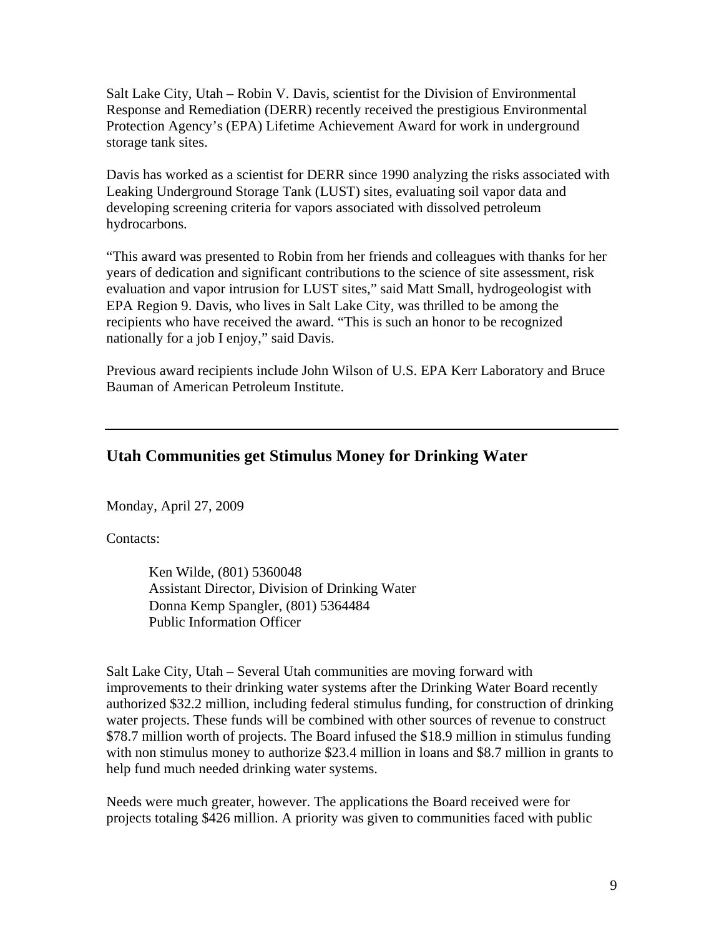Salt Lake City, Utah – Robin V. Davis, scientist for the Division of Environmental Response and Remediation (DERR) recently received the prestigious Environmental Protection Agency's (EPA) Lifetime Achievement Award for work in underground storage tank sites.

Davis has worked as a scientist for DERR since 1990 analyzing the risks associated with Leaking Underground Storage Tank (LUST) sites, evaluating soil vapor data and developing screening criteria for vapors associated with dissolved petroleum hydrocarbons.

"This award was presented to Robin from her friends and colleagues with thanks for her years of dedication and significant contributions to the science of site assessment, risk evaluation and vapor intrusion for LUST sites," said Matt Small, hydrogeologist with EPA Region 9. Davis, who lives in Salt Lake City, was thrilled to be among the recipients who have received the award. "This is such an honor to be recognized nationally for a job I enjoy," said Davis.

Previous award recipients include John Wilson of U.S. EPA Kerr Laboratory and Bruce Bauman of American Petroleum Institute.

# **Utah Communities get Stimulus Money for Drinking Water**

Monday, April 27, 2009

Contacts:

Ken Wilde, (801) 5360048 Assistant Director, Division of Drinking Water Donna Kemp Spangler, (801) 5364484 Public Information Officer

Salt Lake City, Utah – Several Utah communities are moving forward with improvements to their drinking water systems after the Drinking Water Board recently authorized \$32.2 million, including federal stimulus funding, for construction of drinking water projects. These funds will be combined with other sources of revenue to construct \$78.7 million worth of projects. The Board infused the \$18.9 million in stimulus funding with non stimulus money to authorize \$23.4 million in loans and \$8.7 million in grants to help fund much needed drinking water systems.

Needs were much greater, however. The applications the Board received were for projects totaling \$426 million. A priority was given to communities faced with public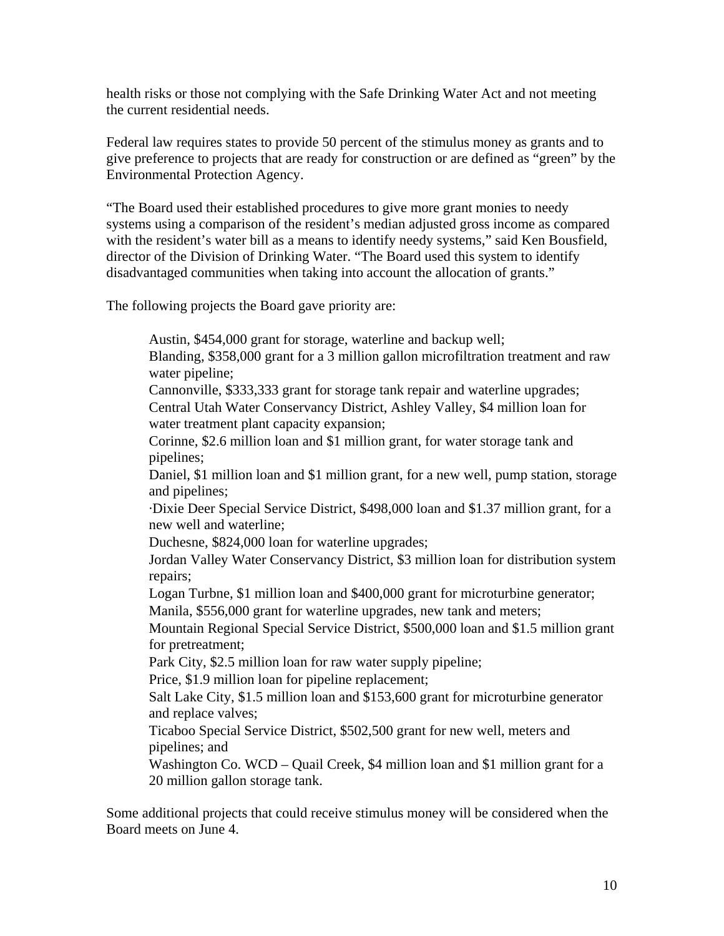health risks or those not complying with the Safe Drinking Water Act and not meeting the current residential needs.

Federal law requires states to provide 50 percent of the stimulus money as grants and to give preference to projects that are ready for construction or are defined as "green" by the Environmental Protection Agency.

"The Board used their established procedures to give more grant monies to needy systems using a comparison of the resident's median adjusted gross income as compared with the resident's water bill as a means to identify needy systems," said Ken Bousfield, director of the Division of Drinking Water. "The Board used this system to identify disadvantaged communities when taking into account the allocation of grants."

The following projects the Board gave priority are:

Austin, \$454,000 grant for storage, waterline and backup well;

Blanding, \$358,000 grant for a 3 million gallon microfiltration treatment and raw water pipeline;

Cannonville, \$333,333 grant for storage tank repair and waterline upgrades; Central Utah Water Conservancy District, Ashley Valley, \$4 million loan for water treatment plant capacity expansion;

Corinne, \$2.6 million loan and \$1 million grant, for water storage tank and pipelines;

Daniel, \$1 million loan and \$1 million grant, for a new well, pump station, storage and pipelines;

·Dixie Deer Special Service District, \$498,000 loan and \$1.37 million grant, for a new well and waterline;

Duchesne, \$824,000 loan for waterline upgrades;

Jordan Valley Water Conservancy District, \$3 million loan for distribution system repairs;

Logan Turbne, \$1 million loan and \$400,000 grant for microturbine generator; Manila, \$556,000 grant for waterline upgrades, new tank and meters;

Mountain Regional Special Service District, \$500,000 loan and \$1.5 million grant for pretreatment;

Park City, \$2.5 million loan for raw water supply pipeline;

Price, \$1.9 million loan for pipeline replacement;

Salt Lake City, \$1.5 million loan and \$153,600 grant for microturbine generator and replace valves;

Ticaboo Special Service District, \$502,500 grant for new well, meters and pipelines; and

Washington Co. WCD – Quail Creek, \$4 million loan and \$1 million grant for a 20 million gallon storage tank.

Some additional projects that could receive stimulus money will be considered when the Board meets on June 4.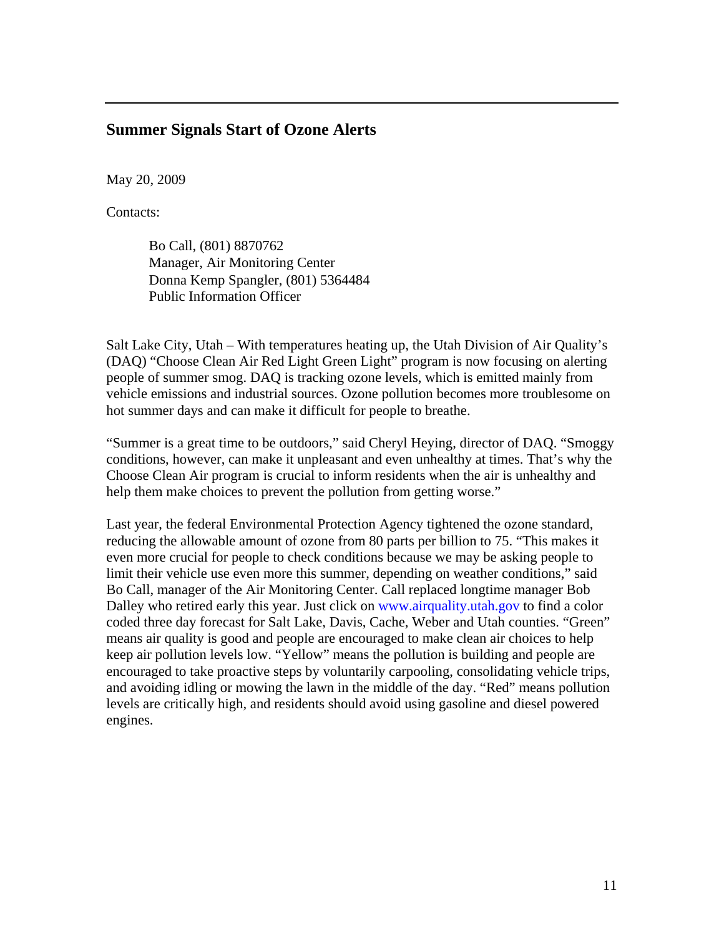#### **Summer Signals Start of Ozone Alerts**

May 20, 2009

Contacts:

Bo Call, (801) 8870762 Manager, Air Monitoring Center Donna Kemp Spangler, (801) 5364484 Public Information Officer

Salt Lake City, Utah – With temperatures heating up, the Utah Division of Air Quality's (DAQ) "Choose Clean Air Red Light Green Light" program is now focusing on alerting people of summer smog. DAQ is tracking ozone levels, which is emitted mainly from vehicle emissions and industrial sources. Ozone pollution becomes more troublesome on hot summer days and can make it difficult for people to breathe.

"Summer is a great time to be outdoors," said Cheryl Heying, director of DAQ. "Smoggy conditions, however, can make it unpleasant and even unhealthy at times. That's why the Choose Clean Air program is crucial to inform residents when the air is unhealthy and help them make choices to prevent the pollution from getting worse."

Last year, the federal Environmental Protection Agency tightened the ozone standard, reducing the allowable amount of ozone from 80 parts per billion to 75. "This makes it even more crucial for people to check conditions because we may be asking people to limit their vehicle use even more this summer, depending on weather conditions," said Bo Call, manager of the Air Monitoring Center. Call replaced longtime manager Bob Dalley who retired early this year. Just click on www.airquality.utah.gov to find a color coded three day forecast for Salt Lake, Davis, Cache, Weber and Utah counties. "Green" means air quality is good and people are encouraged to make clean air choices to help keep air pollution levels low. "Yellow" means the pollution is building and people are encouraged to take proactive steps by voluntarily carpooling, consolidating vehicle trips, and avoiding idling or mowing the lawn in the middle of the day. "Red" means pollution levels are critically high, and residents should avoid using gasoline and diesel powered engines.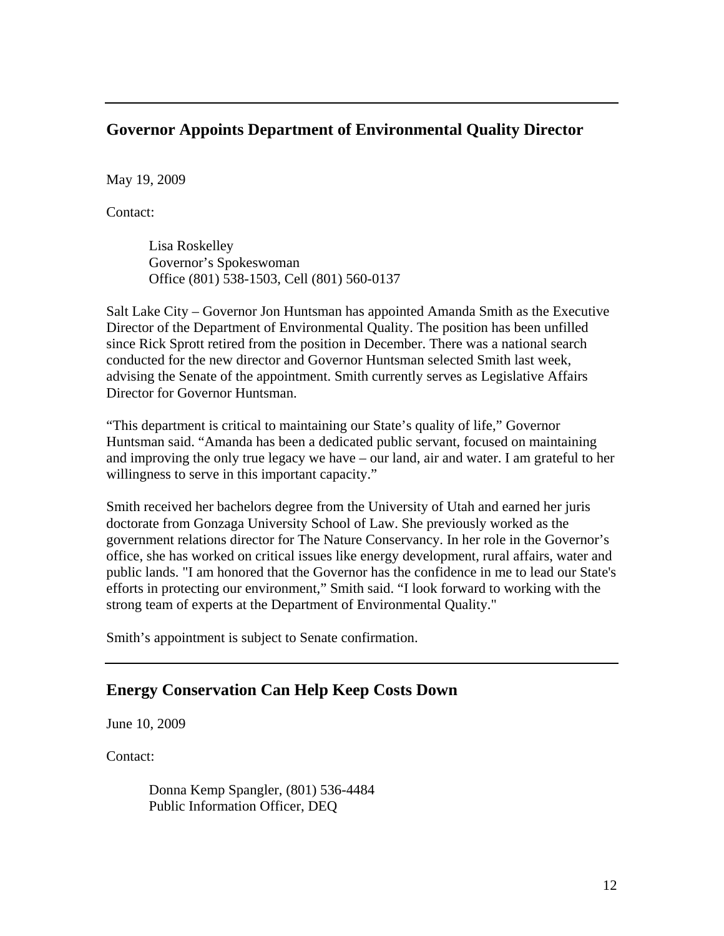# **Governor Appoints Department of Environmental Quality Director**

May 19, 2009

Contact:

Lisa Roskelley Governor's Spokeswoman Office (801) 538-1503, Cell (801) 560-0137

Salt Lake City – Governor Jon Huntsman has appointed Amanda Smith as the Executive Director of the Department of Environmental Quality. The position has been unfilled since Rick Sprott retired from the position in December. There was a national search conducted for the new director and Governor Huntsman selected Smith last week, advising the Senate of the appointment. Smith currently serves as Legislative Affairs Director for Governor Huntsman.

"This department is critical to maintaining our State's quality of life," Governor Huntsman said. "Amanda has been a dedicated public servant, focused on maintaining and improving the only true legacy we have – our land, air and water. I am grateful to her willingness to serve in this important capacity."

Smith received her bachelors degree from the University of Utah and earned her juris doctorate from Gonzaga University School of Law. She previously worked as the government relations director for The Nature Conservancy. In her role in the Governor's office, she has worked on critical issues like energy development, rural affairs, water and public lands. "I am honored that the Governor has the confidence in me to lead our State's efforts in protecting our environment," Smith said. "I look forward to working with the strong team of experts at the Department of Environmental Quality."

Smith's appointment is subject to Senate confirmation.

# **Energy Conservation Can Help Keep Costs Down**

June 10, 2009

Contact:

Donna Kemp Spangler, (801) 536-4484 Public Information Officer, DEQ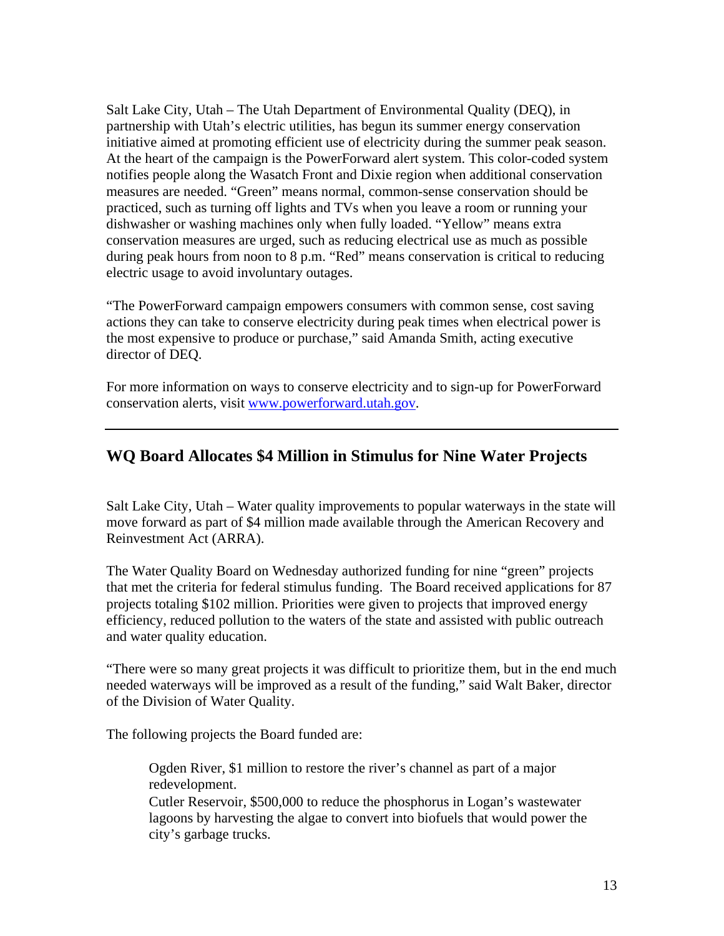Salt Lake City, Utah – The Utah Department of Environmental Quality (DEQ), in partnership with Utah's electric utilities, has begun its summer energy conservation initiative aimed at promoting efficient use of electricity during the summer peak season. At the heart of the campaign is the PowerForward alert system. This color-coded system notifies people along the Wasatch Front and Dixie region when additional conservation measures are needed. "Green" means normal, common-sense conservation should be practiced, such as turning off lights and TVs when you leave a room or running your dishwasher or washing machines only when fully loaded. "Yellow" means extra conservation measures are urged, such as reducing electrical use as much as possible during peak hours from noon to 8 p.m. "Red" means conservation is critical to reducing electric usage to avoid involuntary outages.

"The PowerForward campaign empowers consumers with common sense, cost saving actions they can take to conserve electricity during peak times when electrical power is the most expensive to produce or purchase," said Amanda Smith, acting executive director of DEQ.

For more information on ways to conserve electricity and to sign-up for PowerForward conservation alerts, visit www.powerforward.utah.gov.

# **WQ Board Allocates \$4 Million in Stimulus for Nine Water Projects**

Salt Lake City, Utah – Water quality improvements to popular waterways in the state will move forward as part of \$4 million made available through the American Recovery and Reinvestment Act (ARRA).

The Water Quality Board on Wednesday authorized funding for nine "green" projects that met the criteria for federal stimulus funding. The Board received applications for 87 projects totaling \$102 million. Priorities were given to projects that improved energy efficiency, reduced pollution to the waters of the state and assisted with public outreach and water quality education.

"There were so many great projects it was difficult to prioritize them, but in the end much needed waterways will be improved as a result of the funding," said Walt Baker, director of the Division of Water Quality.

The following projects the Board funded are:

Ogden River, \$1 million to restore the river's channel as part of a major redevelopment.

Cutler Reservoir, \$500,000 to reduce the phosphorus in Logan's wastewater lagoons by harvesting the algae to convert into biofuels that would power the city's garbage trucks.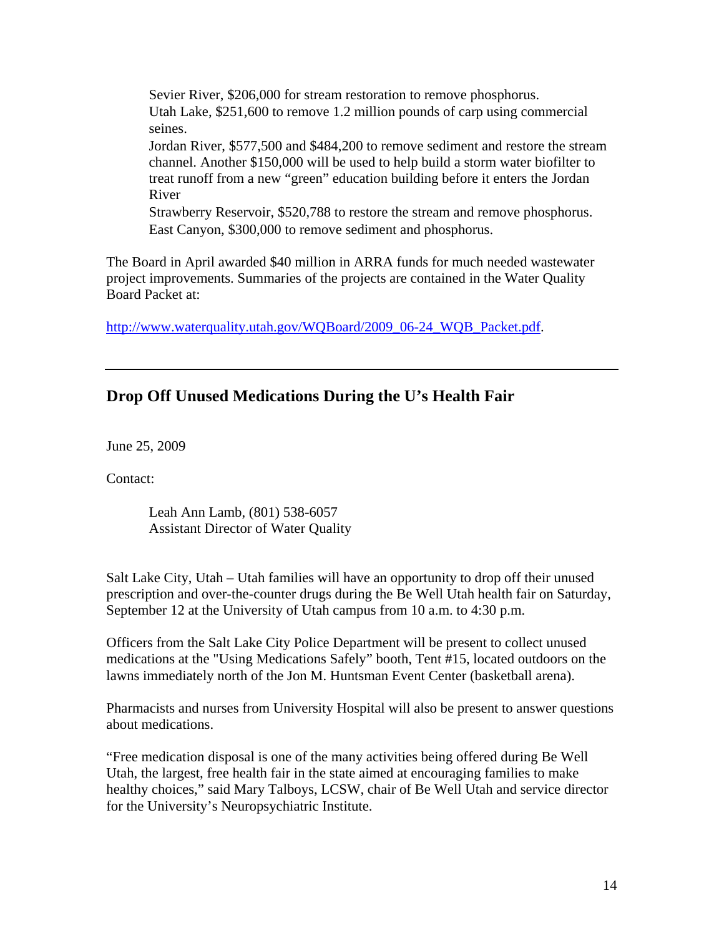Sevier River, \$206,000 for stream restoration to remove phosphorus. Utah Lake, \$251,600 to remove 1.2 million pounds of carp using commercial seines. Jordan River, \$577,500 and \$484,200 to remove sediment and restore the stream channel. Another \$150,000 will be used to help build a storm water biofilter to treat runoff from a new "green" education building before it enters the Jordan River Strawberry Reservoir, \$520,788 to restore the stream and remove phosphorus.

East Canyon, \$300,000 to remove sediment and phosphorus.

The Board in April awarded \$40 million in ARRA funds for much needed wastewater project improvements. Summaries of the projects are contained in the Water Quality Board Packet at:

http://www.waterquality.utah.gov/WOBoard/2009\_06-24\_WOB\_Packet.pdf.

#### **Drop Off Unused Medications During the U's Health Fair**

June 25, 2009

Contact:

Leah Ann Lamb, (801) 538-6057 Assistant Director of Water Quality

Salt Lake City, Utah – Utah families will have an opportunity to drop off their unused prescription and over-the-counter drugs during the Be Well Utah health fair on Saturday, September 12 at the University of Utah campus from 10 a.m. to 4:30 p.m.

Officers from the Salt Lake City Police Department will be present to collect unused medications at the "Using Medications Safely" booth, Tent #15, located outdoors on the lawns immediately north of the Jon M. Huntsman Event Center (basketball arena).

Pharmacists and nurses from University Hospital will also be present to answer questions about medications.

"Free medication disposal is one of the many activities being offered during Be Well Utah, the largest, free health fair in the state aimed at encouraging families to make healthy choices," said Mary Talboys, LCSW, chair of Be Well Utah and service director for the University's Neuropsychiatric Institute.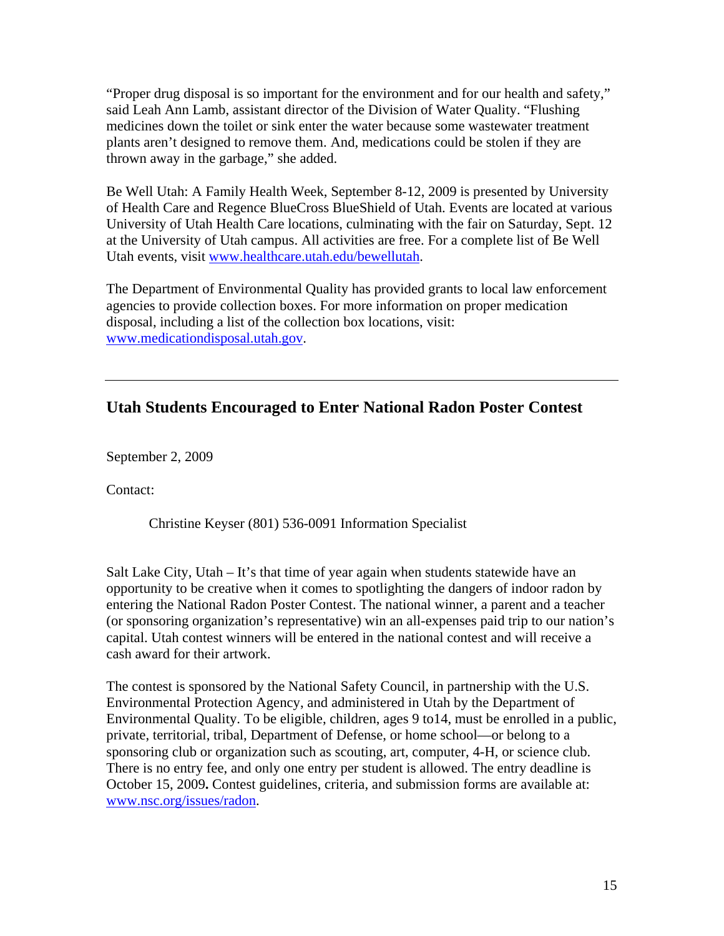"Proper drug disposal is so important for the environment and for our health and safety," said Leah Ann Lamb, assistant director of the Division of Water Quality. "Flushing medicines down the toilet or sink enter the water because some wastewater treatment plants aren't designed to remove them. And, medications could be stolen if they are thrown away in the garbage," she added.

Be Well Utah: A Family Health Week, September 8-12, 2009 is presented by University of Health Care and Regence BlueCross BlueShield of Utah. Events are located at various University of Utah Health Care locations, culminating with the fair on Saturday, Sept. 12 at the University of Utah campus. All activities are free. For a complete list of Be Well Utah events, visit www.healthcare.utah.edu/bewellutah.

The Department of Environmental Quality has provided grants to local law enforcement agencies to provide collection boxes. For more information on proper medication disposal, including a list of the collection box locations, visit: www.medicationdisposal.utah.gov.

# **Utah Students Encouraged to Enter National Radon Poster Contest**

September 2, 2009

Contact:

Christine Keyser (801) 536-0091 Information Specialist

Salt Lake City, Utah  $-$  It's that time of year again when students statewide have an opportunity to be creative when it comes to spotlighting the dangers of indoor radon by entering the National Radon Poster Contest. The national winner, a parent and a teacher (or sponsoring organization's representative) win an all-expenses paid trip to our nation's capital. Utah contest winners will be entered in the national contest and will receive a cash award for their artwork.

The contest is sponsored by the National Safety Council, in partnership with the U.S. Environmental Protection Agency, and administered in Utah by the Department of Environmental Quality. To be eligible, children, ages 9 to14, must be enrolled in a public, private, territorial, tribal, Department of Defense, or home school—or belong to a sponsoring club or organization such as scouting, art, computer, 4-H, or science club. There is no entry fee, and only one entry per student is allowed. The entry deadline is October 15, 2009**.** Contest guidelines, criteria, and submission forms are available at: www.nsc.org/issues/radon.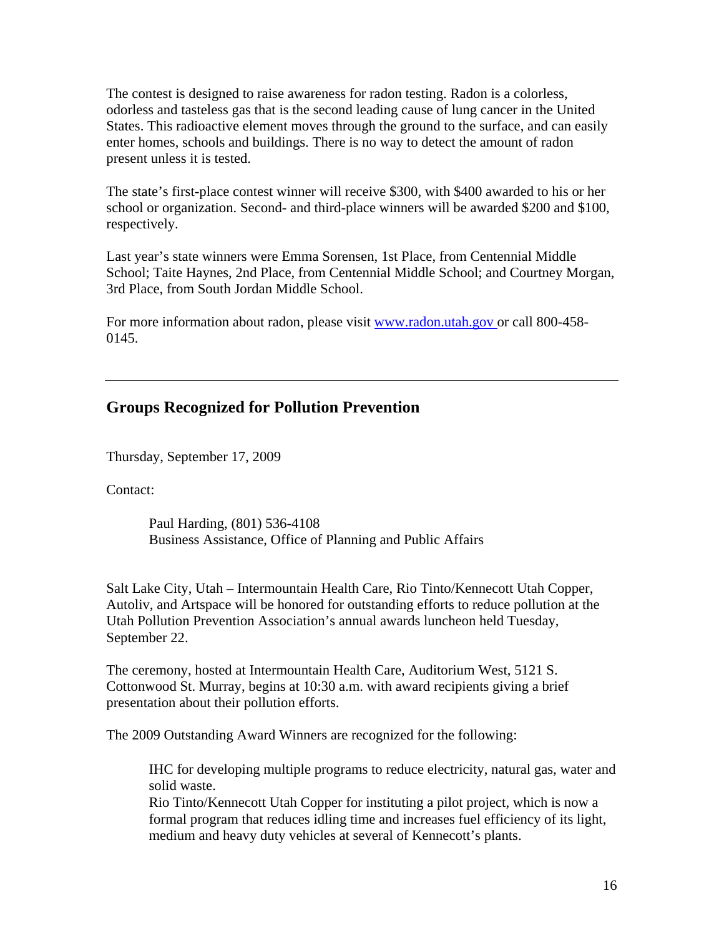The contest is designed to raise awareness for radon testing. Radon is a colorless, odorless and tasteless gas that is the second leading cause of lung cancer in the United States. This radioactive element moves through the ground to the surface, and can easily enter homes, schools and buildings. There is no way to detect the amount of radon present unless it is tested.

The state's first-place contest winner will receive \$300, with \$400 awarded to his or her school or organization. Second- and third-place winners will be awarded \$200 and \$100, respectively.

Last year's state winners were Emma Sorensen, 1st Place, from Centennial Middle School; Taite Haynes, 2nd Place, from Centennial Middle School; and Courtney Morgan, 3rd Place, from South Jordan Middle School.

For more information about radon, please visit www.radon.utah.gov or call 800-458-0145.

#### **Groups Recognized for Pollution Prevention**

Thursday, September 17, 2009

Contact:

Paul Harding, (801) 536-4108 Business Assistance, Office of Planning and Public Affairs

Salt Lake City, Utah – Intermountain Health Care, Rio Tinto/Kennecott Utah Copper, Autoliv, and Artspace will be honored for outstanding efforts to reduce pollution at the Utah Pollution Prevention Association's annual awards luncheon held Tuesday, September 22.

The ceremony, hosted at Intermountain Health Care, Auditorium West, 5121 S. Cottonwood St. Murray, begins at 10:30 a.m. with award recipients giving a brief presentation about their pollution efforts.

The 2009 Outstanding Award Winners are recognized for the following:

IHC for developing multiple programs to reduce electricity, natural gas, water and solid waste.

Rio Tinto/Kennecott Utah Copper for instituting a pilot project, which is now a formal program that reduces idling time and increases fuel efficiency of its light, medium and heavy duty vehicles at several of Kennecott's plants.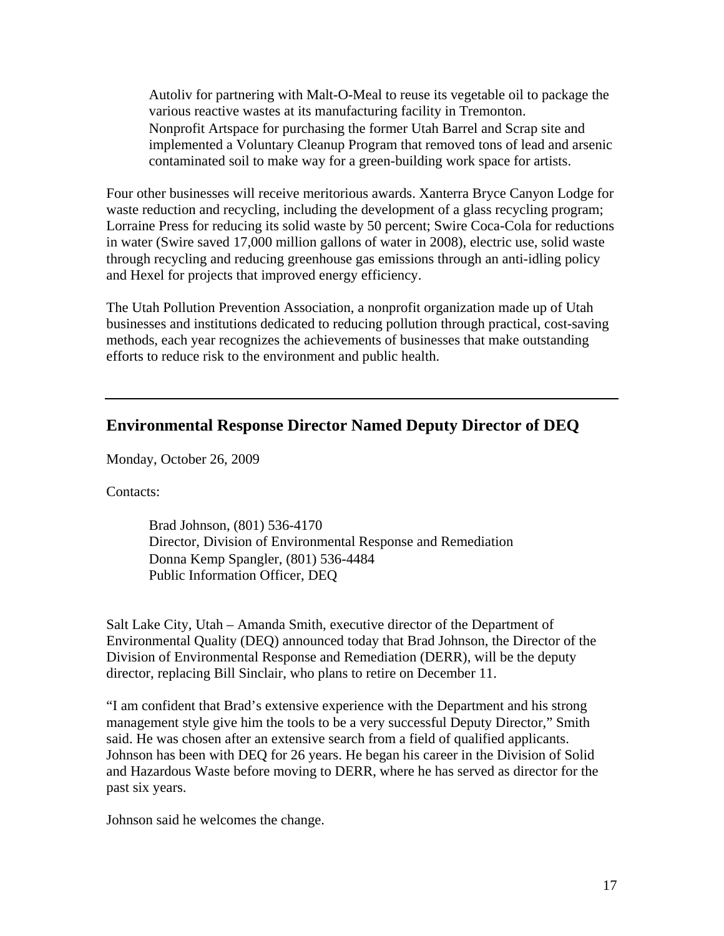Autoliv for partnering with Malt-O-Meal to reuse its vegetable oil to package the various reactive wastes at its manufacturing facility in Tremonton. Nonprofit Artspace for purchasing the former Utah Barrel and Scrap site and implemented a Voluntary Cleanup Program that removed tons of lead and arsenic contaminated soil to make way for a green-building work space for artists.

Four other businesses will receive meritorious awards. Xanterra Bryce Canyon Lodge for waste reduction and recycling, including the development of a glass recycling program; Lorraine Press for reducing its solid waste by 50 percent; Swire Coca-Cola for reductions in water (Swire saved 17,000 million gallons of water in 2008), electric use, solid waste through recycling and reducing greenhouse gas emissions through an anti-idling policy and Hexel for projects that improved energy efficiency.

The Utah Pollution Prevention Association, a nonprofit organization made up of Utah businesses and institutions dedicated to reducing pollution through practical, cost-saving methods, each year recognizes the achievements of businesses that make outstanding efforts to reduce risk to the environment and public health.

#### **Environmental Response Director Named Deputy Director of DEQ**

Monday, October 26, 2009

Contacts:

Brad Johnson, (801) 536-4170 Director, Division of Environmental Response and Remediation Donna Kemp Spangler, (801) 536-4484 Public Information Officer, DEQ

Salt Lake City, Utah – Amanda Smith, executive director of the Department of Environmental Quality (DEQ) announced today that Brad Johnson, the Director of the Division of Environmental Response and Remediation (DERR), will be the deputy director, replacing Bill Sinclair, who plans to retire on December 11.

"I am confident that Brad's extensive experience with the Department and his strong management style give him the tools to be a very successful Deputy Director," Smith said. He was chosen after an extensive search from a field of qualified applicants. Johnson has been with DEQ for 26 years. He began his career in the Division of Solid and Hazardous Waste before moving to DERR, where he has served as director for the past six years.

Johnson said he welcomes the change.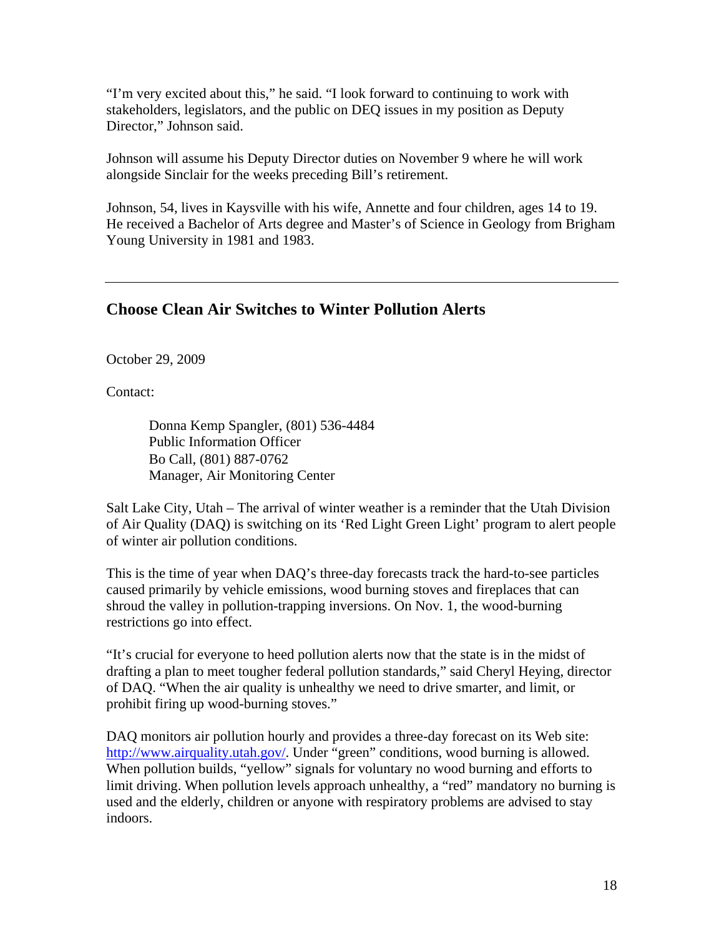"I'm very excited about this," he said. "I look forward to continuing to work with stakeholders, legislators, and the public on DEQ issues in my position as Deputy Director," Johnson said.

Johnson will assume his Deputy Director duties on November 9 where he will work alongside Sinclair for the weeks preceding Bill's retirement.

Johnson, 54, lives in Kaysville with his wife, Annette and four children, ages 14 to 19. He received a Bachelor of Arts degree and Master's of Science in Geology from Brigham Young University in 1981 and 1983.

#### **Choose Clean Air Switches to Winter Pollution Alerts**

October 29, 2009

Contact:

Donna Kemp Spangler, (801) 536-4484 Public Information Officer Bo Call, (801) 887-0762 Manager, Air Monitoring Center

Salt Lake City, Utah – The arrival of winter weather is a reminder that the Utah Division of Air Quality (DAQ) is switching on its 'Red Light Green Light' program to alert people of winter air pollution conditions.

This is the time of year when DAQ's three-day forecasts track the hard-to-see particles caused primarily by vehicle emissions, wood burning stoves and fireplaces that can shroud the valley in pollution-trapping inversions. On Nov. 1, the wood-burning restrictions go into effect.

"It's crucial for everyone to heed pollution alerts now that the state is in the midst of drafting a plan to meet tougher federal pollution standards," said Cheryl Heying, director of DAQ. "When the air quality is unhealthy we need to drive smarter, and limit, or prohibit firing up wood-burning stoves."

DAQ monitors air pollution hourly and provides a three-day forecast on its Web site: http://www.airquality.utah.gov/. Under "green" conditions, wood burning is allowed. When pollution builds, "yellow" signals for voluntary no wood burning and efforts to limit driving. When pollution levels approach unhealthy, a "red" mandatory no burning is used and the elderly, children or anyone with respiratory problems are advised to stay indoors.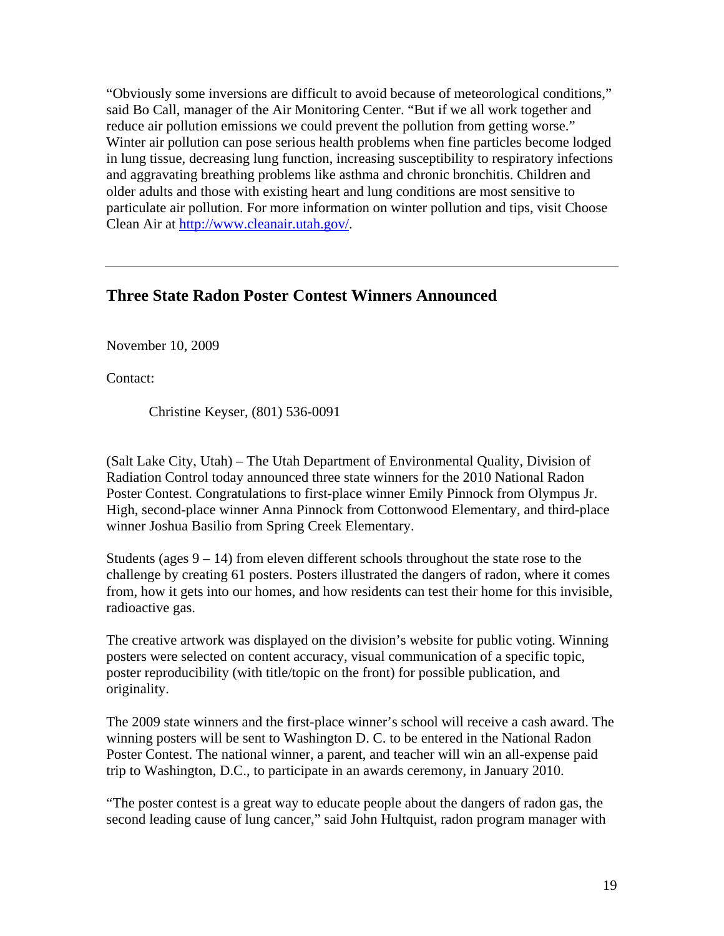"Obviously some inversions are difficult to avoid because of meteorological conditions," said Bo Call, manager of the Air Monitoring Center. "But if we all work together and reduce air pollution emissions we could prevent the pollution from getting worse." Winter air pollution can pose serious health problems when fine particles become lodged in lung tissue, decreasing lung function, increasing susceptibility to respiratory infections and aggravating breathing problems like asthma and chronic bronchitis. Children and older adults and those with existing heart and lung conditions are most sensitive to particulate air pollution. For more information on winter pollution and tips, visit Choose Clean Air at http://www.cleanair.utah.gov/.

# **Three State Radon Poster Contest Winners Announced**

November 10, 2009

Contact:

Christine Keyser, (801) 536-0091

(Salt Lake City, Utah) – The Utah Department of Environmental Quality, Division of Radiation Control today announced three state winners for the 2010 National Radon Poster Contest. Congratulations to first-place winner Emily Pinnock from Olympus Jr. High, second-place winner Anna Pinnock from Cottonwood Elementary, and third-place winner Joshua Basilio from Spring Creek Elementary.

Students (ages  $9 - 14$ ) from eleven different schools throughout the state rose to the challenge by creating 61 posters. Posters illustrated the dangers of radon, where it comes from, how it gets into our homes, and how residents can test their home for this invisible, radioactive gas.

The creative artwork was displayed on the division's website for public voting. Winning posters were selected on content accuracy, visual communication of a specific topic, poster reproducibility (with title/topic on the front) for possible publication, and originality.

The 2009 state winners and the first-place winner's school will receive a cash award. The winning posters will be sent to Washington D. C. to be entered in the National Radon Poster Contest. The national winner, a parent, and teacher will win an all-expense paid trip to Washington, D.C., to participate in an awards ceremony, in January 2010.

"The poster contest is a great way to educate people about the dangers of radon gas, the second leading cause of lung cancer," said John Hultquist, radon program manager with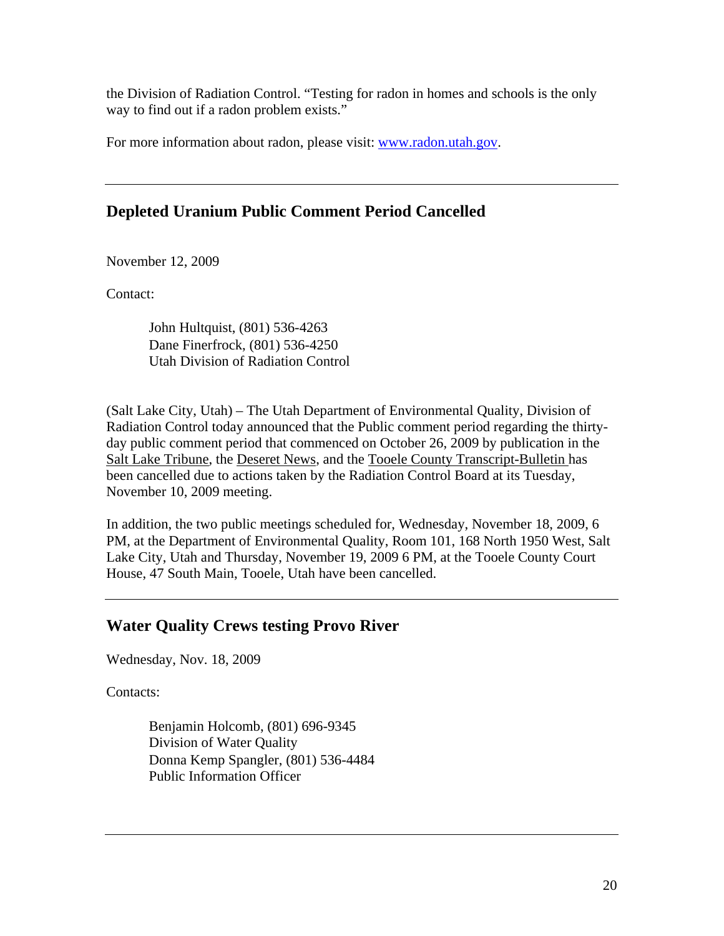the Division of Radiation Control. "Testing for radon in homes and schools is the only way to find out if a radon problem exists."

For more information about radon, please visit: www.radon.utah.gov.

#### **Depleted Uranium Public Comment Period Cancelled**

November 12, 2009

Contact:

John Hultquist, (801) 536-4263 Dane Finerfrock, (801) 536-4250 Utah Division of Radiation Control

(Salt Lake City, Utah) – The Utah Department of Environmental Quality, Division of Radiation Control today announced that the Public comment period regarding the thirtyday public comment period that commenced on October 26, 2009 by publication in the Salt Lake Tribune, the Deseret News, and the Tooele County Transcript-Bulletin has been cancelled due to actions taken by the Radiation Control Board at its Tuesday, November 10, 2009 meeting.

In addition, the two public meetings scheduled for, Wednesday, November 18, 2009, 6 PM, at the Department of Environmental Quality, Room 101, 168 North 1950 West, Salt Lake City, Utah and Thursday, November 19, 2009 6 PM, at the Tooele County Court House, 47 South Main, Tooele, Utah have been cancelled.

# **Water Quality Crews testing Provo River**

Wednesday, Nov. 18, 2009

Contacts:

Benjamin Holcomb, (801) 696-9345 Division of Water Quality Donna Kemp Spangler, (801) 536-4484 Public Information Officer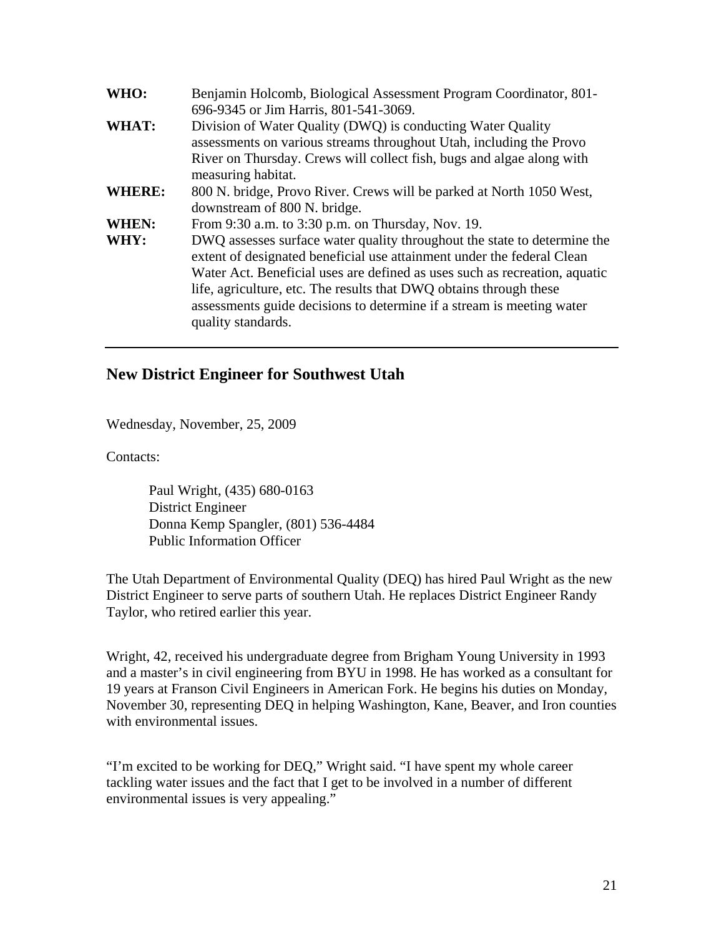| WHO:          | Benjamin Holcomb, Biological Assessment Program Coordinator, 801-<br>696-9345 or Jim Harris, 801-541-3069.                                                                                                                                                                                                                                                                                            |
|---------------|-------------------------------------------------------------------------------------------------------------------------------------------------------------------------------------------------------------------------------------------------------------------------------------------------------------------------------------------------------------------------------------------------------|
| WHAT:         | Division of Water Quality (DWQ) is conducting Water Quality<br>assessments on various streams throughout Utah, including the Provo<br>River on Thursday. Crews will collect fish, bugs and algae along with<br>measuring habitat.                                                                                                                                                                     |
| <b>WHERE:</b> | 800 N. bridge, Provo River. Crews will be parked at North 1050 West,<br>downstream of 800 N. bridge.                                                                                                                                                                                                                                                                                                  |
| <b>WHEN:</b>  | From 9:30 a.m. to 3:30 p.m. on Thursday, Nov. 19.                                                                                                                                                                                                                                                                                                                                                     |
| WHY:          | DWQ assesses surface water quality throughout the state to determine the<br>extent of designated beneficial use attainment under the federal Clean<br>Water Act. Beneficial uses are defined as uses such as recreation, aquatic<br>life, agriculture, etc. The results that DWQ obtains through these<br>assessments guide decisions to determine if a stream is meeting water<br>quality standards. |

#### **New District Engineer for Southwest Utah**

Wednesday, November, 25, 2009

Contacts:

Paul Wright, (435) 680-0163 District Engineer Donna Kemp Spangler, (801) 536-4484 Public Information Officer

The Utah Department of Environmental Quality (DEQ) has hired Paul Wright as the new District Engineer to serve parts of southern Utah. He replaces District Engineer Randy Taylor, who retired earlier this year.

Wright, 42, received his undergraduate degree from Brigham Young University in 1993 and a master's in civil engineering from BYU in 1998. He has worked as a consultant for 19 years at Franson Civil Engineers in American Fork. He begins his duties on Monday, November 30, representing DEQ in helping Washington, Kane, Beaver, and Iron counties with environmental issues.

"I'm excited to be working for DEQ," Wright said. "I have spent my whole career tackling water issues and the fact that I get to be involved in a number of different environmental issues is very appealing."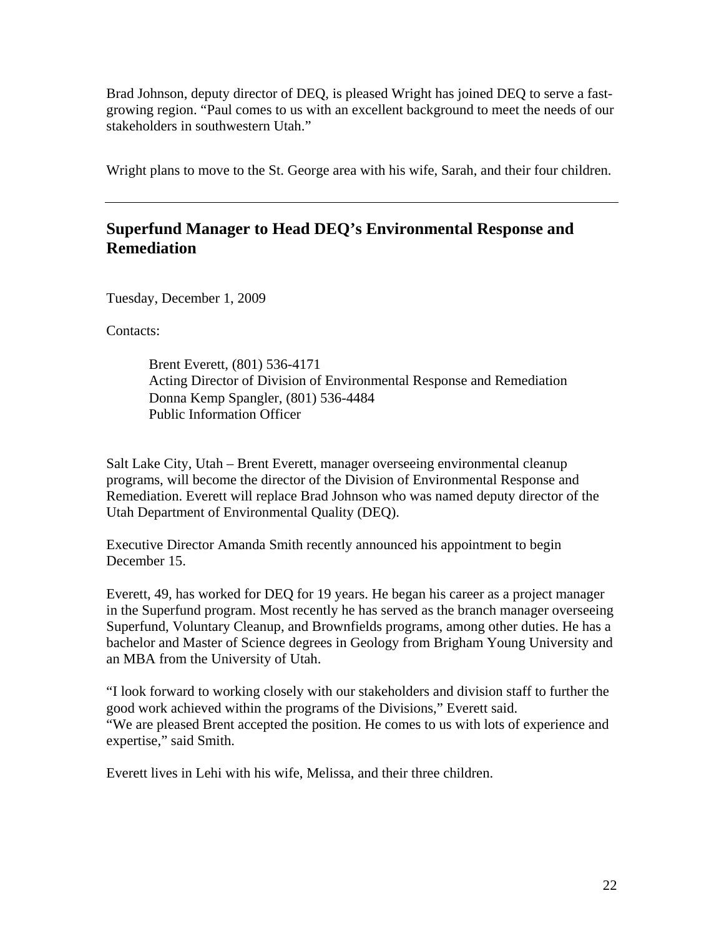Brad Johnson, deputy director of DEQ, is pleased Wright has joined DEQ to serve a fastgrowing region. "Paul comes to us with an excellent background to meet the needs of our stakeholders in southwestern Utah."

Wright plans to move to the St. George area with his wife, Sarah, and their four children.

# **Superfund Manager to Head DEQ's Environmental Response and Remediation**

Tuesday, December 1, 2009

Contacts:

Brent Everett, (801) 536-4171 Acting Director of Division of Environmental Response and Remediation Donna Kemp Spangler, (801) 536-4484 Public Information Officer

Salt Lake City, Utah – Brent Everett, manager overseeing environmental cleanup programs, will become the director of the Division of Environmental Response and Remediation. Everett will replace Brad Johnson who was named deputy director of the Utah Department of Environmental Quality (DEQ).

Executive Director Amanda Smith recently announced his appointment to begin December 15.

Everett, 49, has worked for DEQ for 19 years. He began his career as a project manager in the Superfund program. Most recently he has served as the branch manager overseeing Superfund, Voluntary Cleanup, and Brownfields programs, among other duties. He has a bachelor and Master of Science degrees in Geology from Brigham Young University and an MBA from the University of Utah.

"I look forward to working closely with our stakeholders and division staff to further the good work achieved within the programs of the Divisions," Everett said. "We are pleased Brent accepted the position. He comes to us with lots of experience and expertise," said Smith.

Everett lives in Lehi with his wife, Melissa, and their three children.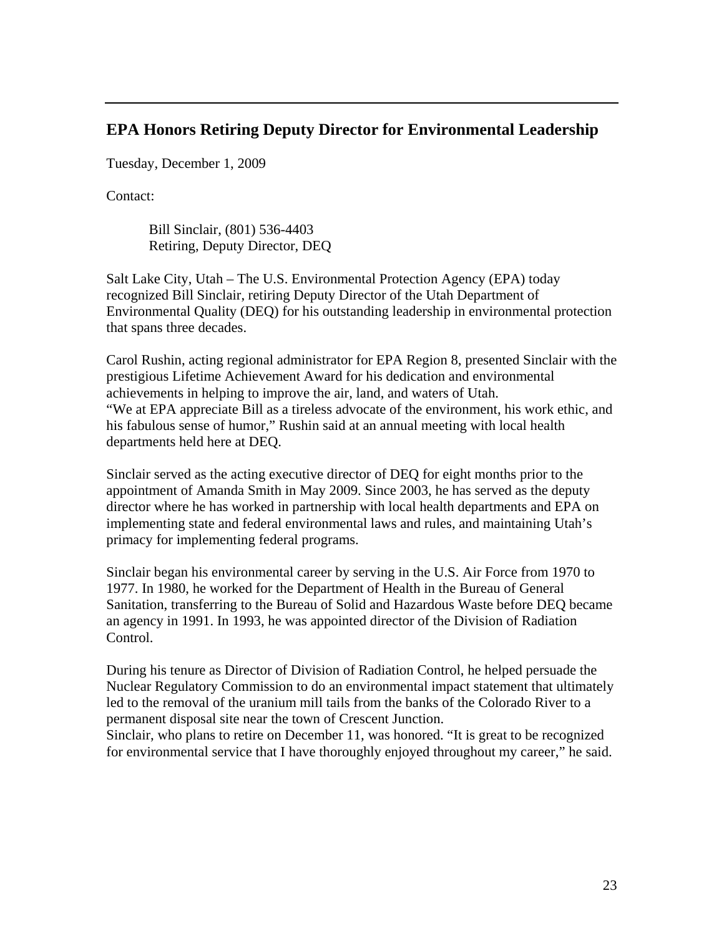#### **EPA Honors Retiring Deputy Director for Environmental Leadership**

Tuesday, December 1, 2009

Contact:

Bill Sinclair, (801) 536-4403 Retiring, Deputy Director, DEQ

Salt Lake City, Utah – The U.S. Environmental Protection Agency (EPA) today recognized Bill Sinclair, retiring Deputy Director of the Utah Department of Environmental Quality (DEQ) for his outstanding leadership in environmental protection that spans three decades.

Carol Rushin, acting regional administrator for EPA Region 8, presented Sinclair with the prestigious Lifetime Achievement Award for his dedication and environmental achievements in helping to improve the air, land, and waters of Utah. "We at EPA appreciate Bill as a tireless advocate of the environment, his work ethic, and his fabulous sense of humor," Rushin said at an annual meeting with local health departments held here at DEQ.

Sinclair served as the acting executive director of DEQ for eight months prior to the appointment of Amanda Smith in May 2009. Since 2003, he has served as the deputy director where he has worked in partnership with local health departments and EPA on implementing state and federal environmental laws and rules, and maintaining Utah's primacy for implementing federal programs.

Sinclair began his environmental career by serving in the U.S. Air Force from 1970 to 1977. In 1980, he worked for the Department of Health in the Bureau of General Sanitation, transferring to the Bureau of Solid and Hazardous Waste before DEQ became an agency in 1991. In 1993, he was appointed director of the Division of Radiation Control.

During his tenure as Director of Division of Radiation Control, he helped persuade the Nuclear Regulatory Commission to do an environmental impact statement that ultimately led to the removal of the uranium mill tails from the banks of the Colorado River to a permanent disposal site near the town of Crescent Junction.

Sinclair, who plans to retire on December 11, was honored. "It is great to be recognized for environmental service that I have thoroughly enjoyed throughout my career," he said.